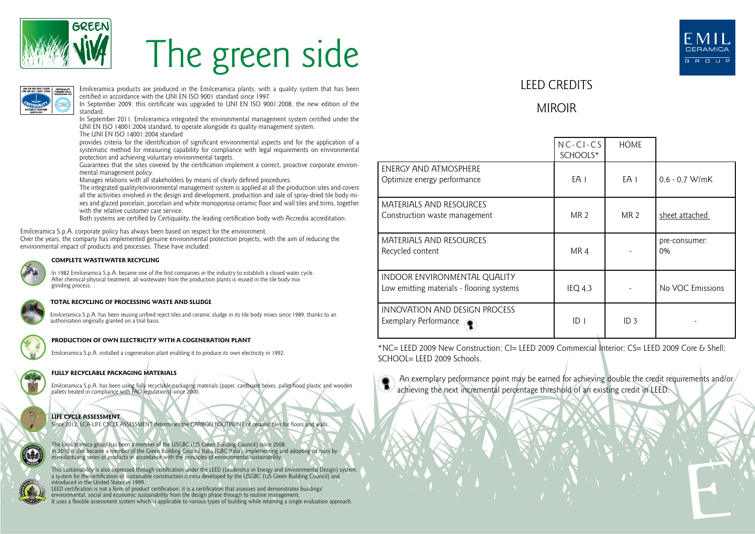

# The green side



Emilceramica products are produced in the Emilceramica plants, with a quality system that has been certified in accordance with the UNI EN ISO 9001 standard since 1997.

In September 2009, this certificate was upgraded to UNI EN ISO 9001:2008, the new edition of the standard.

In September 2011, Emilceramica integrated the environmental management system certified under the UNI EN ISO 14001:2004 standard, to operate alongside its quality management system.

The UNI EN ISO 14001:2004 standard

provides criteria for the identification of significant environmental aspects and for the application of a systematic method for measuring capability for compliance with legal requirements on environmental protection and achieving voluntary environmental targets.

Guarantees that the sites covered by the certification implement a correct, proactive corporate environmental management policy.

Manages relations with all stakeholders by means of clearly defined procedures.

The integrated quality/environmental management system is applied at all the production sites and covers all the activities involved in the design and development, production and sale of spray-dried tile body mixes and glazed porcelain, porcelain and white monoporosa ceramic floor and wall tiles and trims, together with the relative customer care service.

Both systems are certified by Certiquality, the leading certification body with Accredia accreditation.

Emilceramica S.p.A. corporate policy has always been based on respect for the environment.

Over the years, the company has implemented genuine environmental protection projects, with the aim of reducing the environmental impact of products and processes. These have included:



#### **COMPLETE WASTEWATER RECYCLING**

In 1982 Emilceramica S.p.A. became one of the first companies in the industry to establish a closed water cycle. After chemical-physical treatment, all wastewater from the production plants is reused in the tile body mix grinding process.

#### **TOTAL RECYCLING OF PROCESSING WASTE AND SLUDGE**

Emilceramica S.p.A. has been reusing unfired reject tiles and ceramic sludge in its tile body mixes since 1989, thanks to an authorisation originally granted on a trial basis.



#### **PRODUCTION OF OWN ELECTRICITY WITH A COGENERATION PLANT**

Emilceramica S.p.A. installed a cogeneration plant enabling it to produce its own electricity in 1992.

### **FULLY RECYCLABLE PACKAGING MATERIALS**

Emilceramica S.p.A. has been using fully recyclable packaging materials (paper, cardboard boxes, pallet hood plastic and wooden pallets treated in compliance with FAO regulations) since 2000.



Since 2012: LCA-LIFE CYCLE ASSESSMENT determines the CARBON FOOTPRINT of ceramic tiles for floors and walls.

The Emilceramica group has been a member of the USGBC (US Green Building Council) since 2008. In 2010 it also became a member of the Green Building Council Italia (GBC Italia), implementing and adopting its rules by manufacturing series of products in accordance with the principles of environmental sustainability.

This sustainability is also expressed through certification under the LEED (Leadership in Energy and Environmental Design) system,<br>a system for the certification of sustainable construction criteria developed by the USGBC introduced in the United States in 1999.

LEED certification is not a form of product certification; it is a certification that assesses and demonstrates buildings' environmental, social and economic sustainability from the design phase through to routine management. It uses a flexible assessment system which is applicable to various types of building while retaining a single evaluation approach.



## LEED CREDITS

## MIROIR

|                                                                           | $NC-CI-CS$<br>SCHOOLS* | <b>HOME</b>     |                     |
|---------------------------------------------------------------------------|------------------------|-----------------|---------------------|
| ENERGY AND ATMOSPHERE<br>Optimize energy performance                      | EA 1                   | EA I            | $0.6 - 0.7$ W/mK    |
| <b>MATERIALS AND RESOURCES</b><br>Construction waste management           | <b>MR 2</b>            | MR <sub>2</sub> | sheet attached      |
| <b>MATERIALS AND RESOURCES</b><br>Recycled content                        | MR4                    |                 | pre-consumer:<br>0% |
| INDOOR ENVIRONMENTAL QUALITY<br>Low emitting materials - flooring systems | $IEQ$ 4.3              |                 | No VOC Emissions    |
| INNOVATION AND DESIGN PROCESS<br><b>Exemplary Performance</b>             | ID <sub>1</sub>        | ID <sub>3</sub> |                     |

\*NC= LEED 2009 New Construction; CI= LEED 2009 Commercial Interior; CS= LEED 2009 Core & Shell;  $SCHOOI = I FFD 2009$  Schools.



An exemplary performance point may be earned for achieving double the credit requirements and/or/ achieving the next incremental percentage threshold of an existing credit in LEED.